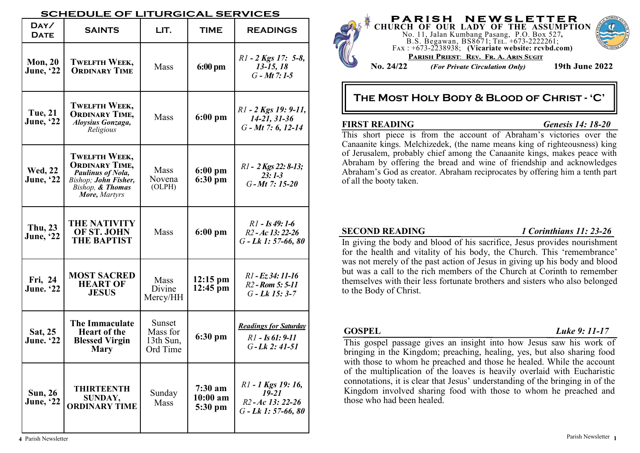| DAY/<br><b>DATE</b>                | <b>SAINTS</b>                                                                                                                                 | LIT.                                        | <b>TIME</b>                        | <b>READINGS</b>                                                                          |
|------------------------------------|-----------------------------------------------------------------------------------------------------------------------------------------------|---------------------------------------------|------------------------------------|------------------------------------------------------------------------------------------|
| Mon, $20$<br><b>June, '22</b>      | TWELFTH WEEK,<br><b>ORDINARY TIME</b>                                                                                                         | <b>Mass</b>                                 | $6:00$ pm                          | $R1 - 2$ Kgs 17: 5-8,<br>$13-15, 18$<br>$G$ - Mt 7: 1-5                                  |
| <b>Tue, 21</b><br><b>June, '22</b> | <b>TWELFTH WEEK,</b><br><b>ORDINARY TIME,</b><br>Aloysius Gonzaga,<br>Religious                                                               | <b>Mass</b>                                 | $6:00$ pm                          | $R1 - 2$ Kgs 19: 9-11,<br>14-21, 31-36<br>$G$ - Mt 7: 6, 12-14                           |
| <b>Wed, 22</b><br>June, '22        | <b>TWELFTH WEEK,</b><br><b>ORDINARY TIME,</b><br><b>Paulinus of Nola,</b><br>Bishop; John Fisher,<br>Bishop, & Thomas<br><b>More, Martyrs</b> | <b>Mass</b><br>Novena<br>(OLPH)             | $6:00$ pm<br>$6:30$ pm             | $R1 - 2$ Kgs 22: 8-13;<br>$23:1-3$<br>$G-Mt$ 7: 15-20                                    |
| <b>Thu, 23</b><br><b>June, '22</b> | <b>THE NATIVITY</b><br>OF ST. JOHN<br><b>THE BAPTIST</b>                                                                                      | <b>Mass</b>                                 | $6:00$ pm                          | $R1 - Is 49:1-6$<br>R <sub>2</sub> - Ac 13: 22-26<br>$G$ - Lk 1: 57-66, 80               |
| Fri, 24<br><b>June. '22</b>        | <b>MOST SACRED</b><br><b>HEART OF</b><br><b>JESUS</b>                                                                                         | <b>Mass</b><br>Divine<br>Mercy/HH           | 12:15 pm<br>$12:45$ pm             | R1 - Ez 34: 11-16<br>R <sub>2</sub> - Rom 5: 5-11<br>$G$ - Lk 15: 3-7                    |
| Sat, 25<br><b>June. 22</b>         | <b>The Immaculate</b><br><b>Heart of the</b><br><b>Blessed Virgin</b><br><b>Mary</b>                                                          | Sunset<br>Mass for<br>13th Sun,<br>Ord Time | $6:30$ pm                          | <b>Readings for Saturday</b><br>$R1 - Is 61: 9-11$<br>$G$ -Lk 2: 41-51                   |
| <b>Sun, 26</b><br>June, '22        | <b>THIRTEENTH</b><br>SUNDAY,<br><b>ORDINARY TIME</b>                                                                                          | Sunday<br><b>Mass</b>                       | $7:30$ am<br>$10:00$ am<br>5:30 pm | R1 - 1 Kgs 19: 16,<br>$19 - 21$<br>R <sub>2</sub> -Ac 13: 22-26<br>$G$ - Lk 1: 57-66, 80 |

#### **SCHEDULE OF LITURGICAL SERVICES** TER CHURCH OF OUR LADY OF THE ASSUMPTION No. 11, Jalan Kumbang Pasang, P.O. Box 527, B.S. Begawan, BS8671; TEL. +673-2222261;  $F_{AX}: +673-2238938$ ; (Vicariate website: rcvbd.com)



# The Most Holy Body & Blood of Christ - 'C'

PARISH PRIEST: REV. FR. A. ARIN SUGIT

(For Private Circulation Only)

#### FIRST READING Genesis 14: 18-20

No. 24/22

**19th June 2022** 

This short piece is from the account of Abraham's victories over the Canaanite kings. Melchizedek, (the name means king of righteousness) king of Jerusalem, probably chief among the Canaanite kings, makes peace with Abraham by offering the bread and wine of friendship and acknowledges Abraham's God as creator. Abraham reciprocates by offering him a tenth part of all the booty taken.

#### SECOND READING 1 Corinthians 11: 23-26

In giving the body and blood of his sacrifice, Jesus provides nourishment for the health and vitality of his body, the Church. This 'remembrance' was not merely of the past action of Jesus in giving up his body and blood but was a call to the rich members of the Church at Corinth to remember themselves with their less fortunate brothers and sisters who also belonged to the Body of Christ.

GOSPEL Luke 9: 11-17

This gospel passage gives an insight into how Jesus saw his work of bringing in the Kingdom; preaching, healing, yes, but also sharing food with those to whom he preached and those he healed. While the account of the multiplication of the loaves is heavily overlaid with Eucharistic connotations, it is clear that Jesus' understanding of the bringing in of the Kingdom involved sharing food with those to whom he preached and those who had been healed.